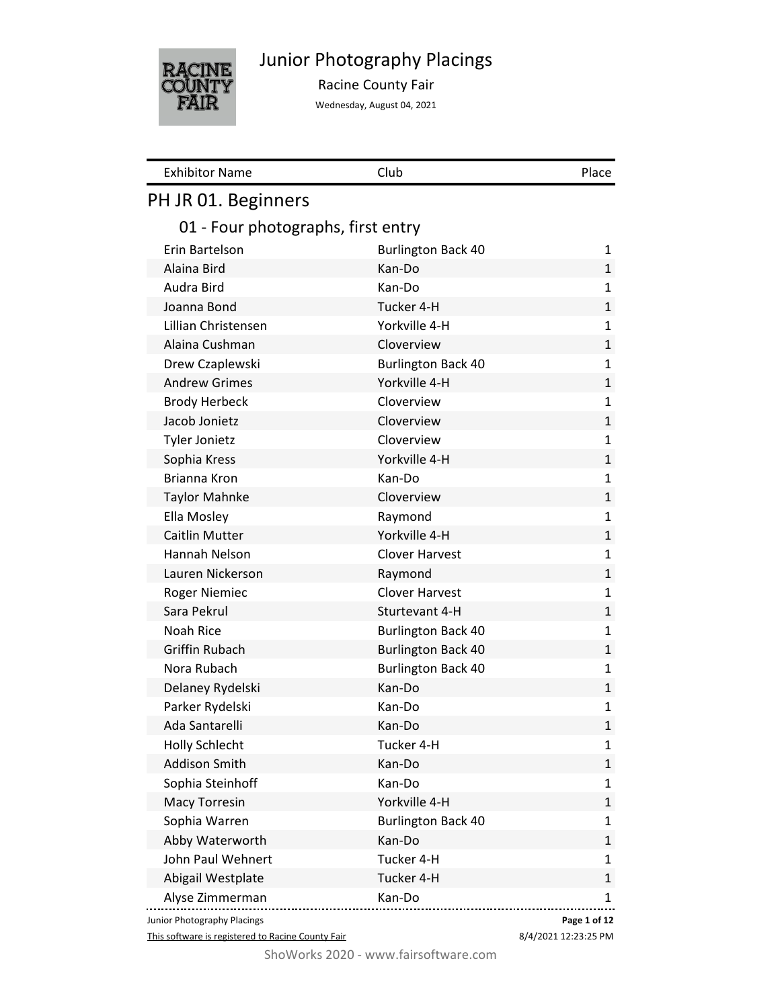

Junior Photography Placings

Racine County Fair

Wednesday, August 04, 2021

| <b>Exhibitor Name</b>              | Club                      | Place        |
|------------------------------------|---------------------------|--------------|
| PH JR 01. Beginners                |                           |              |
| 01 - Four photographs, first entry |                           |              |
| Erin Bartelson                     | <b>Burlington Back 40</b> | 1            |
| Alaina Bird                        | Kan-Do                    | $\mathbf{1}$ |
| Audra Bird                         | Kan-Do                    | $\mathbf{1}$ |
| Joanna Bond                        | Tucker 4-H                | $\mathbf{1}$ |
| Lillian Christensen                | Yorkville 4-H             | 1            |
| Alaina Cushman                     | Cloverview                | $\mathbf{1}$ |
| Drew Czaplewski                    | <b>Burlington Back 40</b> | $\mathbf{1}$ |
| <b>Andrew Grimes</b>               | Yorkville 4-H             | $\mathbf{1}$ |
| <b>Brody Herbeck</b>               | Cloverview                | 1            |
| Jacob Jonietz                      | Cloverview                | $\mathbf{1}$ |
| <b>Tyler Jonietz</b>               | Cloverview                | $\mathbf{1}$ |
| Sophia Kress                       | Yorkville 4-H             | $\mathbf{1}$ |
| Brianna Kron                       | Kan-Do                    | 1            |
| <b>Taylor Mahnke</b>               | Cloverview                | $\mathbf{1}$ |
| Ella Mosley                        | Raymond                   | $\mathbf{1}$ |
| <b>Caitlin Mutter</b>              | Yorkville 4-H             | $\mathbf{1}$ |
| Hannah Nelson                      | <b>Clover Harvest</b>     | 1            |
| Lauren Nickerson                   | Raymond                   | $\mathbf{1}$ |
| <b>Roger Niemiec</b>               | <b>Clover Harvest</b>     | $\mathbf{1}$ |
| Sara Pekrul                        | Sturtevant 4-H            | $\mathbf{1}$ |
| Noah Rice                          | <b>Burlington Back 40</b> | 1            |
| <b>Griffin Rubach</b>              | <b>Burlington Back 40</b> | $\mathbf{1}$ |
| Nora Rubach                        | <b>Burlington Back 40</b> | $\mathbf{1}$ |
| Delaney Rydelski                   | Kan-Do                    | $\mathbf{1}$ |
| Parker Rydelski                    | Kan-Do                    | 1            |
| Ada Santarelli                     | Kan-Do                    | $\mathbf{1}$ |
| <b>Holly Schlecht</b>              | Tucker 4-H                | 1            |
| <b>Addison Smith</b>               | Kan-Do                    | $\mathbf{1}$ |
| Sophia Steinhoff                   | Kan-Do                    | 1            |
| <b>Macy Torresin</b>               | Yorkville 4-H             | 1            |
| Sophia Warren                      | <b>Burlington Back 40</b> | 1            |
| Abby Waterworth                    | Kan-Do                    | 1            |
| John Paul Wehnert                  | Tucker 4-H                | 1            |
| Abigail Westplate                  | Tucker 4-H                | $\mathbf{1}$ |
| Alyse Zimmerman                    | Kan-Do                    | 1            |
| Junior Photography Placings        |                           | Page 1 of 12 |

This software is registered to Racine County Fair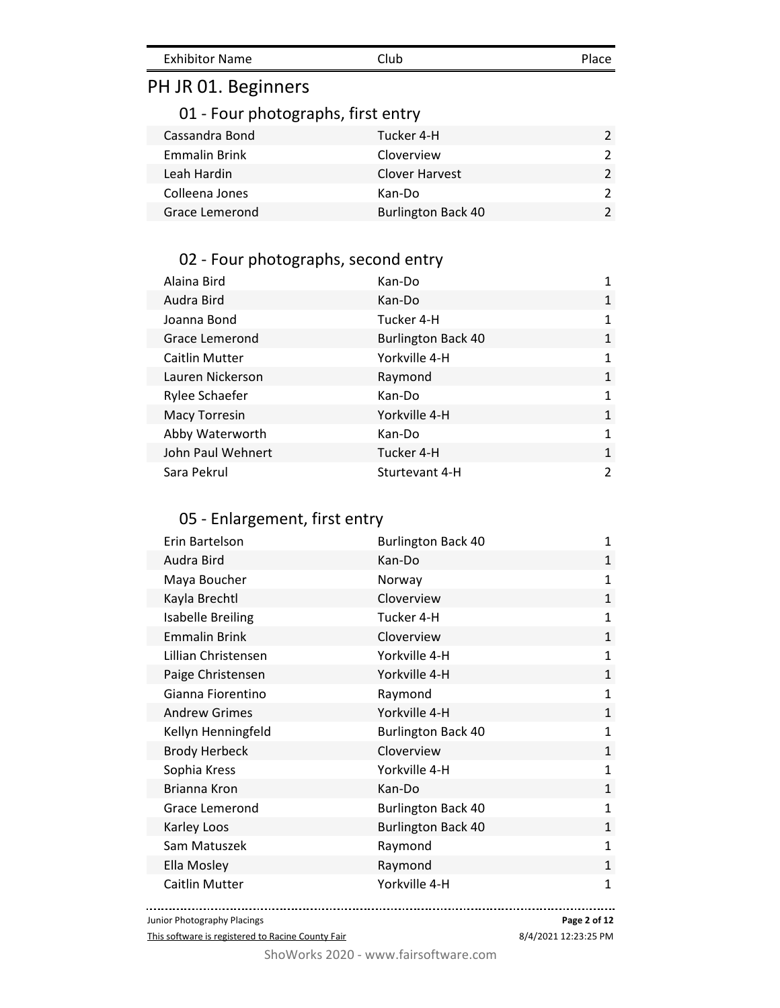| <b>Exhibitor Name</b> | Club | Place |
|-----------------------|------|-------|
|-----------------------|------|-------|

## PH JR 01. Beginners

#### 01 - Four photographs, first entry

| Cassandra Bond       | Tucker 4-H                | $\mathcal{P}$ |
|----------------------|---------------------------|---------------|
| <b>Emmalin Brink</b> | Cloverview                |               |
| Leah Hardin          | Clover Harvest            |               |
| Colleena Jones       | Kan-Do                    |               |
| Grace Lemerond       | <b>Burlington Back 40</b> |               |

#### 02 - Four photographs, second entry

| Alaina Bird       | Kan-Do                    |               |
|-------------------|---------------------------|---------------|
| Audra Bird        | Kan-Do                    | $\mathbf{1}$  |
| Joanna Bond       | Tucker 4-H                | 1             |
| Grace Lemerond    | <b>Burlington Back 40</b> | 1             |
| Caitlin Mutter    | Yorkville 4-H             | 1             |
| Lauren Nickerson  | Raymond                   | $\mathbf{1}$  |
| Rylee Schaefer    | Kan-Do                    | 1             |
| Macy Torresin     | Yorkville 4-H             | $\mathbf{1}$  |
| Abby Waterworth   | Kan-Do                    | 1             |
| John Paul Wehnert | Tucker 4-H                | $\mathbf{1}$  |
| Sara Pekrul       | Sturtevant 4-H            | $\mathcal{P}$ |

#### 05 - Enlargement, first entry

| Erin Bartelson           | <b>Burlington Back 40</b> | $\mathbf{1}$ |
|--------------------------|---------------------------|--------------|
| Audra Bird               | Kan-Do                    | $\mathbf{1}$ |
| Maya Boucher             | Norway                    | $\mathbf{1}$ |
| Kayla Brechtl            | Cloverview                | $\mathbf{1}$ |
| <b>Isabelle Breiling</b> | Tucker 4-H                | $\mathbf{1}$ |
| <b>Emmalin Brink</b>     | Cloverview                | $\mathbf{1}$ |
| Lillian Christensen      | Yorkville 4-H             | $\mathbf{1}$ |
| Paige Christensen        | Yorkville 4-H             | $\mathbf{1}$ |
| Gianna Fiorentino        | Raymond                   | $\mathbf{1}$ |
| <b>Andrew Grimes</b>     | Yorkville 4-H             | $\mathbf{1}$ |
| Kellyn Henningfeld       | <b>Burlington Back 40</b> | $\mathbf{1}$ |
| <b>Brody Herbeck</b>     | Cloverview                | $\mathbf{1}$ |
| Sophia Kress             | Yorkville 4-H             | $\mathbf{1}$ |
| Brianna Kron             | Kan-Do                    | $\mathbf{1}$ |
| Grace Lemerond           | <b>Burlington Back 40</b> | $\mathbf{1}$ |
| Karley Loos              | <b>Burlington Back 40</b> | $\mathbf{1}$ |
| Sam Matuszek             | Raymond                   | $\mathbf{1}$ |
| Ella Mosley              | Raymond                   | $\mathbf{1}$ |
| Caitlin Mutter           | Yorkville 4-H             | 1            |

Junior Photography Placings

This software is registered to Racine County Fair

**Page 2 of 12**

. . . . . . . . . . . . . . .

8/4/2021 12:23:25 PM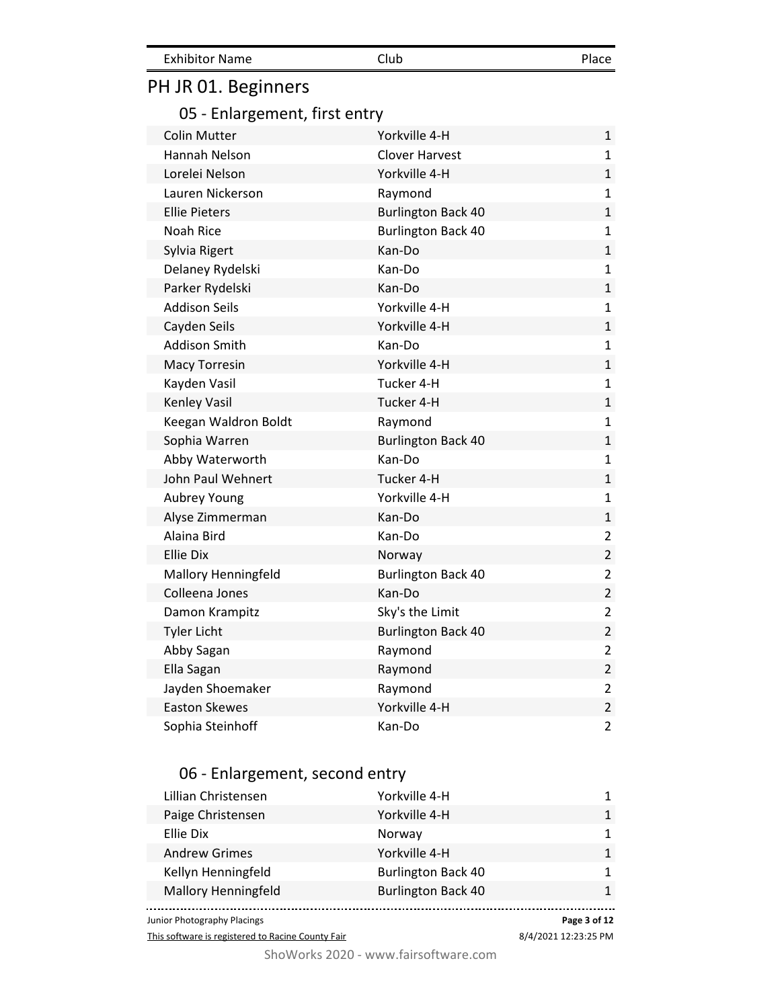| <b>Exhibitor Name</b> | Club | Place |
|-----------------------|------|-------|
|                       |      |       |

## PH JR 01. Beginners

#### 05 - Enlargement, first entry

| <b>Colin Mutter</b>  | Yorkville 4-H             | $\mathbf 1$    |
|----------------------|---------------------------|----------------|
| Hannah Nelson        | <b>Clover Harvest</b>     | $\mathbf{1}$   |
| Lorelei Nelson       | Yorkville 4-H             | $\mathbf{1}$   |
| Lauren Nickerson     | Raymond                   | $\mathbf 1$    |
| <b>Ellie Pieters</b> | <b>Burlington Back 40</b> | $\mathbf{1}$   |
| Noah Rice            | <b>Burlington Back 40</b> | 1              |
| Sylvia Rigert        | Kan-Do                    | $\mathbf{1}$   |
| Delaney Rydelski     | Kan-Do                    | $\mathbf 1$    |
| Parker Rydelski      | Kan-Do                    | $\mathbf{1}$   |
| <b>Addison Seils</b> | Yorkville 4-H             | $\mathbf 1$    |
| Cayden Seils         | Yorkville 4-H             | $\mathbf{1}$   |
| Addison Smith        | Kan-Do                    | $\mathbf{1}$   |
| <b>Macy Torresin</b> | Yorkville 4-H             | $\mathbf{1}$   |
| Kayden Vasil         | Tucker 4-H                | $\mathbf{1}$   |
| Kenley Vasil         | Tucker 4-H                | $\mathbf{1}$   |
| Keegan Waldron Boldt | Raymond                   | $\mathbf{1}$   |
| Sophia Warren        | <b>Burlington Back 40</b> | $\mathbf{1}$   |
| Abby Waterworth      | Kan-Do                    | $\mathbf{1}$   |
| John Paul Wehnert    | Tucker 4-H                | $\mathbf{1}$   |
| Aubrey Young         | Yorkville 4-H             | $\mathbf{1}$   |
| Alyse Zimmerman      | Kan-Do                    | $\mathbf 1$    |
| Alaina Bird          | Kan-Do                    | $\overline{2}$ |
| <b>Ellie Dix</b>     | Norway                    | $\overline{2}$ |
| Mallory Henningfeld  | <b>Burlington Back 40</b> | $\overline{2}$ |
| Colleena Jones       | Kan-Do                    | $\overline{2}$ |
| Damon Krampitz       | Sky's the Limit           | $\overline{2}$ |
| <b>Tyler Licht</b>   | <b>Burlington Back 40</b> | $\overline{2}$ |
| Abby Sagan           | Raymond                   | $\overline{2}$ |
| Ella Sagan           | Raymond                   | $\overline{2}$ |
| Jayden Shoemaker     | Raymond                   | $\overline{2}$ |
| <b>Easton Skewes</b> | Yorkville 4-H             | $\overline{2}$ |
| Sophia Steinhoff     | Kan-Do                    | $\overline{2}$ |

#### 06 - Enlargement, second entry

| Lillian Christensen         | Yorkville 4-H             | 1            |
|-----------------------------|---------------------------|--------------|
| Paige Christensen           | Yorkville 4-H             | 1            |
| Ellie Dix                   | Norway                    | 1            |
| <b>Andrew Grimes</b>        | Yorkville 4-H             | 1            |
| Kellyn Henningfeld          | <b>Burlington Back 40</b> | 1            |
| Mallory Henningfeld         | <b>Burlington Back 40</b> | 1            |
|                             |                           |              |
| Junior Photography Placings |                           | Page 3 of 12 |

This software is registered to Racine County Fair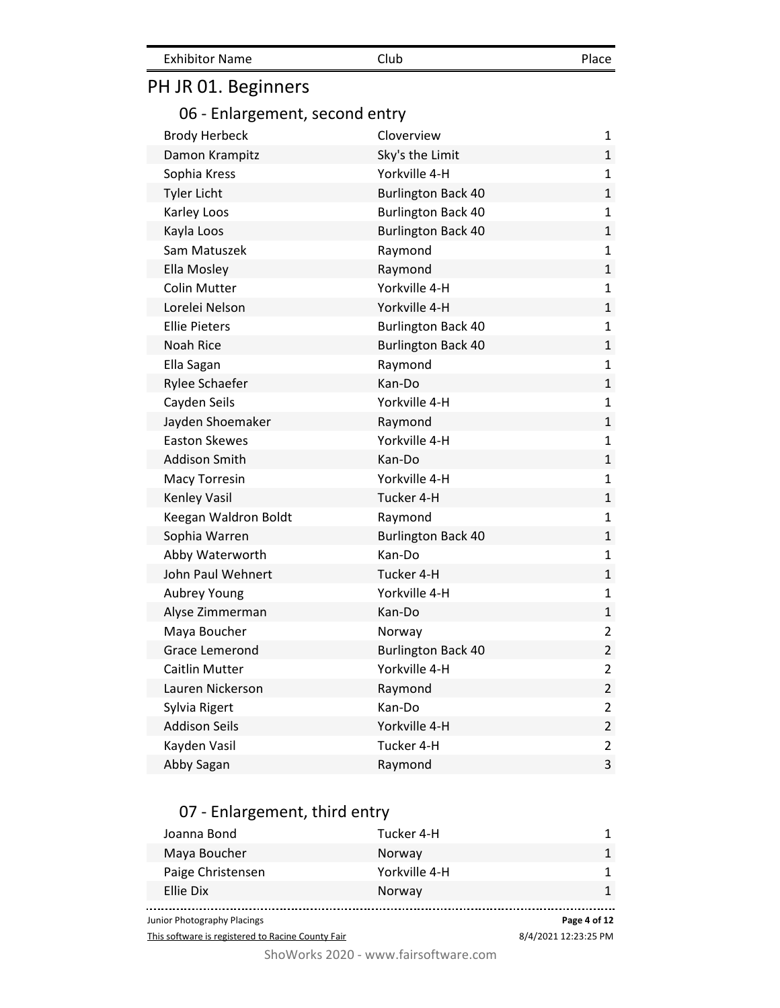## PH JR 01. Beginners

#### 06 - Enlargement, second entry

| <b>Brody Herbeck</b>  | Cloverview                | 1              |
|-----------------------|---------------------------|----------------|
| Damon Krampitz        | Sky's the Limit           | $\mathbf{1}$   |
| Sophia Kress          | Yorkville 4-H             | 1              |
| <b>Tyler Licht</b>    | <b>Burlington Back 40</b> | $\mathbf{1}$   |
| Karley Loos           | <b>Burlington Back 40</b> | $\mathbf{1}$   |
| Kayla Loos            | <b>Burlington Back 40</b> | $\mathbf{1}$   |
| Sam Matuszek          | Raymond                   | $\mathbf{1}$   |
| Ella Mosley           | Raymond                   | $\mathbf{1}$   |
| <b>Colin Mutter</b>   | Yorkville 4-H             | 1              |
| Lorelei Nelson        | Yorkville 4-H             | $\mathbf{1}$   |
| <b>Ellie Pieters</b>  | <b>Burlington Back 40</b> | 1              |
| Noah Rice             | <b>Burlington Back 40</b> | $\mathbf{1}$   |
| Ella Sagan            | Raymond                   | $\mathbf{1}$   |
| Rylee Schaefer        | Kan-Do                    | $\mathbf{1}$   |
| Cayden Seils          | Yorkville 4-H             | $\mathbf{1}$   |
| Jayden Shoemaker      | Raymond                   | $\mathbf 1$    |
| <b>Easton Skewes</b>  | Yorkville 4-H             | $\mathbf{1}$   |
| <b>Addison Smith</b>  | Kan-Do                    | $\mathbf{1}$   |
| <b>Macy Torresin</b>  | Yorkville 4-H             | $\mathbf{1}$   |
| Kenley Vasil          | Tucker 4-H                | $\mathbf{1}$   |
| Keegan Waldron Boldt  | Raymond                   | $\mathbf 1$    |
| Sophia Warren         | <b>Burlington Back 40</b> | $\mathbf{1}$   |
| Abby Waterworth       | Kan-Do                    | $\mathbf{1}$   |
| John Paul Wehnert     | Tucker 4-H                | $\mathbf{1}$   |
| Aubrey Young          | Yorkville 4-H             | $\mathbf 1$    |
| Alyse Zimmerman       | Kan-Do                    | $\mathbf{1}$   |
| Maya Boucher          | Norway                    | $\overline{2}$ |
| <b>Grace Lemerond</b> | <b>Burlington Back 40</b> | $\overline{2}$ |
| Caitlin Mutter        | Yorkville 4-H             | $\overline{2}$ |
| Lauren Nickerson      | Raymond                   | $\overline{2}$ |
| Sylvia Rigert         | Kan-Do                    | $\overline{2}$ |
| <b>Addison Seils</b>  | Yorkville 4-H             | $\overline{2}$ |
| Kayden Vasil          | Tucker 4-H                | $\overline{2}$ |
| Abby Sagan            | Raymond                   | 3              |

#### 07 - Enlargement, third entry

| Junior Photography Placings |               | Page 4 of 12 |
|-----------------------------|---------------|--------------|
|                             |               |              |
| Ellie Dix                   | Norway        |              |
| Paige Christensen           | Yorkville 4-H |              |
| Maya Boucher                | Norway        | 1.           |
| Joanna Bond                 | Tucker 4-H    | 1.           |

This software is registered to Racine County Fair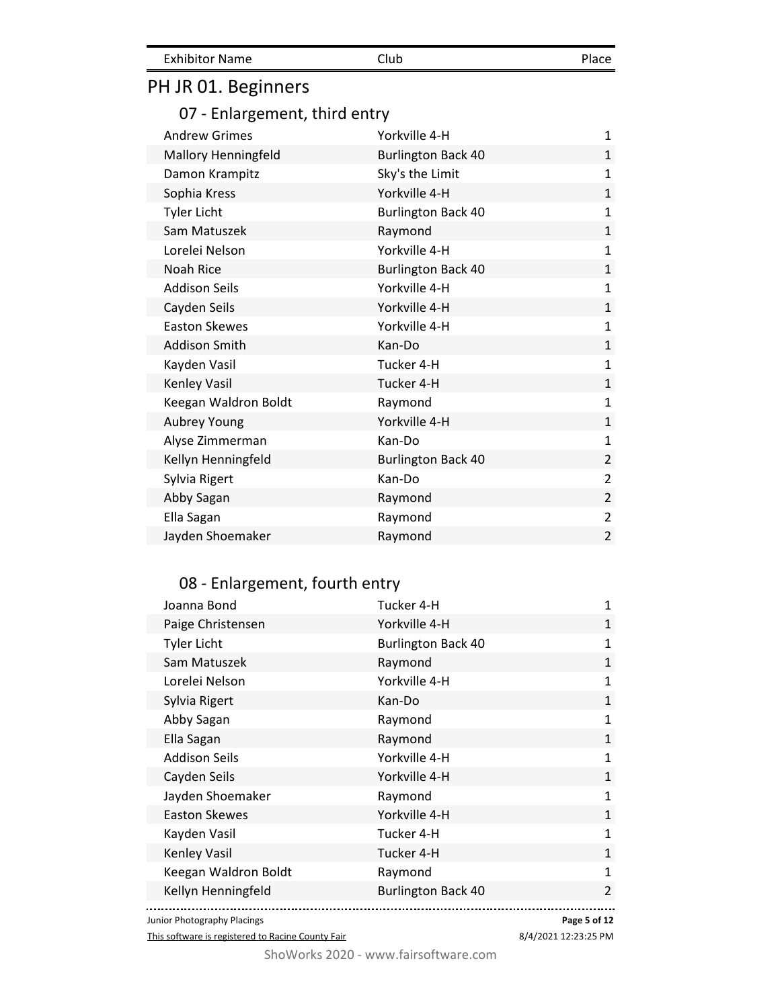## PH JR 01. Beginners

#### 07 - Enlargement, third entry

| <b>Andrew Grimes</b> | Yorkville 4-H             | $\mathbf{1}$   |
|----------------------|---------------------------|----------------|
| Mallory Henningfeld  | <b>Burlington Back 40</b> | $\mathbf{1}$   |
| Damon Krampitz       | Sky's the Limit           | $\mathbf{1}$   |
| Sophia Kress         | Yorkville 4-H             | $\mathbf{1}$   |
| <b>Tyler Licht</b>   | <b>Burlington Back 40</b> | $\mathbf{1}$   |
| Sam Matuszek         | Raymond                   | $\mathbf{1}$   |
| Lorelei Nelson       | Yorkville 4-H             | $\mathbf{1}$   |
| Noah Rice            | <b>Burlington Back 40</b> | $\mathbf{1}$   |
| <b>Addison Seils</b> | Yorkville 4-H             | $\mathbf{1}$   |
| Cayden Seils         | Yorkville 4-H             | $\mathbf{1}$   |
| <b>Easton Skewes</b> | Yorkville 4-H             | $\mathbf{1}$   |
| <b>Addison Smith</b> | Kan-Do                    | $\mathbf{1}$   |
| Kayden Vasil         | Tucker 4-H                | $\mathbf{1}$   |
| Kenley Vasil         | Tucker 4-H                | $\mathbf{1}$   |
| Keegan Waldron Boldt | Raymond                   | $\mathbf{1}$   |
| Aubrey Young         | Yorkville 4-H             | $\mathbf{1}$   |
| Alyse Zimmerman      | Kan-Do                    | $\mathbf{1}$   |
| Kellyn Henningfeld   | <b>Burlington Back 40</b> | $\overline{2}$ |
| Sylvia Rigert        | Kan-Do                    | $\overline{2}$ |
| Abby Sagan           | Raymond                   | $\overline{2}$ |
| Ella Sagan           | Raymond                   | $\overline{2}$ |
| Jayden Shoemaker     | Raymond                   | $\overline{2}$ |

#### 08 - Enlargement, fourth entry

| Joanna Bond          | Tucker 4-H                | $\mathbf{1}$   |
|----------------------|---------------------------|----------------|
| Paige Christensen    | Yorkville 4-H             | $\mathbf{1}$   |
| <b>Tyler Licht</b>   | <b>Burlington Back 40</b> | $\mathbf{1}$   |
| Sam Matuszek         | Raymond                   | $\mathbf{1}$   |
| Lorelei Nelson       | Yorkville 4-H             | $\mathbf{1}$   |
| Sylvia Rigert        | Kan-Do                    | $\mathbf{1}$   |
| Abby Sagan           | Raymond                   | $\mathbf{1}$   |
| Ella Sagan           | Raymond                   | $\mathbf{1}$   |
| <b>Addison Seils</b> | Yorkville 4-H             | $\mathbf{1}$   |
| Cayden Seils         | Yorkville 4-H             | $\mathbf{1}$   |
| Jayden Shoemaker     | Raymond                   | $\mathbf{1}$   |
| <b>Easton Skewes</b> | Yorkville 4-H             | $\mathbf{1}$   |
| Kayden Vasil         | Tucker 4-H                | $\mathbf{1}$   |
| Kenley Vasil         | Tucker 4-H                | $\mathbf{1}$   |
| Keegan Waldron Boldt | Raymond                   | $\mathbf{1}$   |
| Kellyn Henningfeld   | <b>Burlington Back 40</b> | $\overline{2}$ |
|                      |                           |                |

Junior Photography Placings

This software is registered to Racine County Fair

**Page 5 of 12**

8/4/2021 12:23:25 PM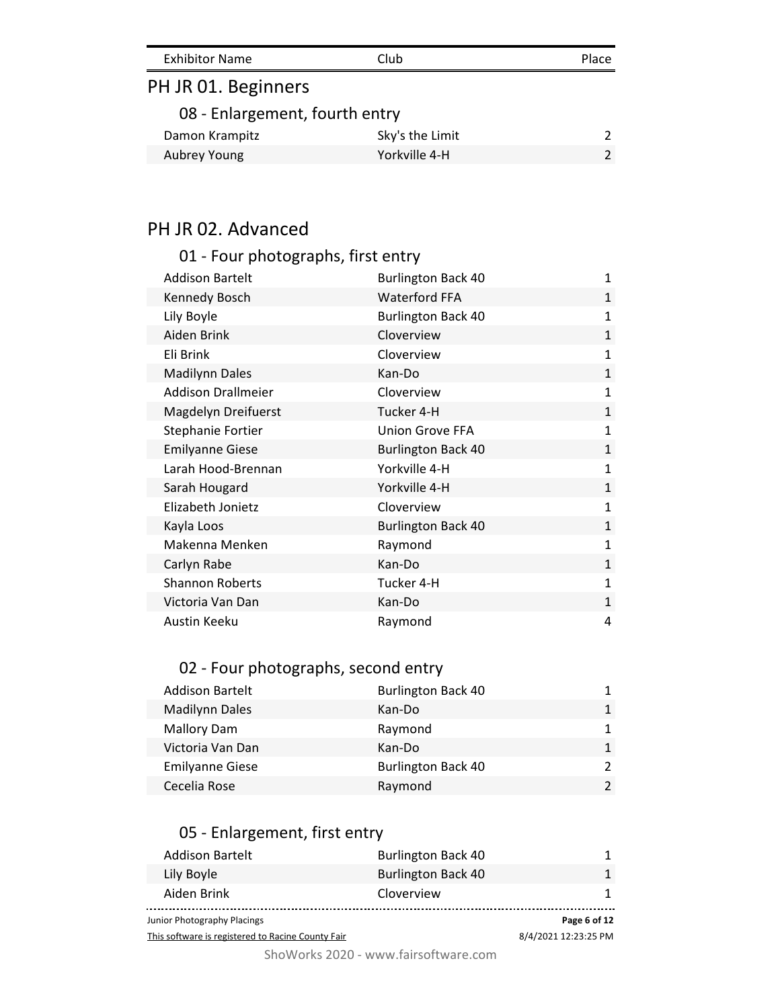| <b>Exhibitor Name</b>          | Club            | Place |
|--------------------------------|-----------------|-------|
| PH JR 01. Beginners            |                 |       |
| 08 - Enlargement, fourth entry |                 |       |
| Damon Krampitz                 | Sky's the Limit |       |
| Aubrey Young                   | Yorkville 4-H   |       |

#### 01 - Four photographs, first entry

| <b>Addison Bartelt</b>    | <b>Burlington Back 40</b> | 1            |
|---------------------------|---------------------------|--------------|
| Kennedy Bosch             | <b>Waterford FFA</b>      | $\mathbf{1}$ |
| Lily Boyle                | <b>Burlington Back 40</b> | 1            |
| Aiden Brink               | Cloverview                | $\mathbf{1}$ |
| Eli Brink                 | Cloverview                | 1            |
| <b>Madilynn Dales</b>     | Kan-Do                    | $\mathbf{1}$ |
| <b>Addison Drallmeier</b> | Cloverview                | 1            |
| Magdelyn Dreifuerst       | Tucker 4-H                | $\mathbf{1}$ |
| Stephanie Fortier         | <b>Union Grove FFA</b>    | 1            |
| <b>Emilyanne Giese</b>    | <b>Burlington Back 40</b> | $\mathbf{1}$ |
| Larah Hood-Brennan        | Yorkville 4-H             | 1            |
| Sarah Hougard             | Yorkville 4-H             | $\mathbf{1}$ |
| Elizabeth Jonietz         | Cloverview                | 1            |
| Kayla Loos                | <b>Burlington Back 40</b> | $\mathbf{1}$ |
| Makenna Menken            | Raymond                   | 1            |
| Carlyn Rabe               | Kan-Do                    | $\mathbf{1}$ |
| <b>Shannon Roberts</b>    | Tucker 4-H                | $\mathbf{1}$ |
| Victoria Van Dan          | Kan-Do                    | $\mathbf{1}$ |
| Austin Keeku              | Raymond                   | 4            |

#### 02 - Four photographs, second entry

| <b>Addison Bartelt</b> | <b>Burlington Back 40</b> |  |
|------------------------|---------------------------|--|
| <b>Madilynn Dales</b>  | Kan-Do                    |  |
| <b>Mallory Dam</b>     | Raymond                   |  |
| Victoria Van Dan       | Kan-Do                    |  |
| <b>Emilyanne Giese</b> | <b>Burlington Back 40</b> |  |
| Cecelia Rose           | Raymond                   |  |

#### 05 - Enlargement, first entry

| <b>Addison Bartelt</b>                            | <b>Burlington Back 40</b> |                      |
|---------------------------------------------------|---------------------------|----------------------|
| Lily Boyle                                        | <b>Burlington Back 40</b> |                      |
| Aiden Brink                                       | Cloverview                |                      |
| Junior Photography Placings                       |                           | Page 6 of 12         |
| This software is registered to Racine County Fair |                           | 8/4/2021 12:23:25 PM |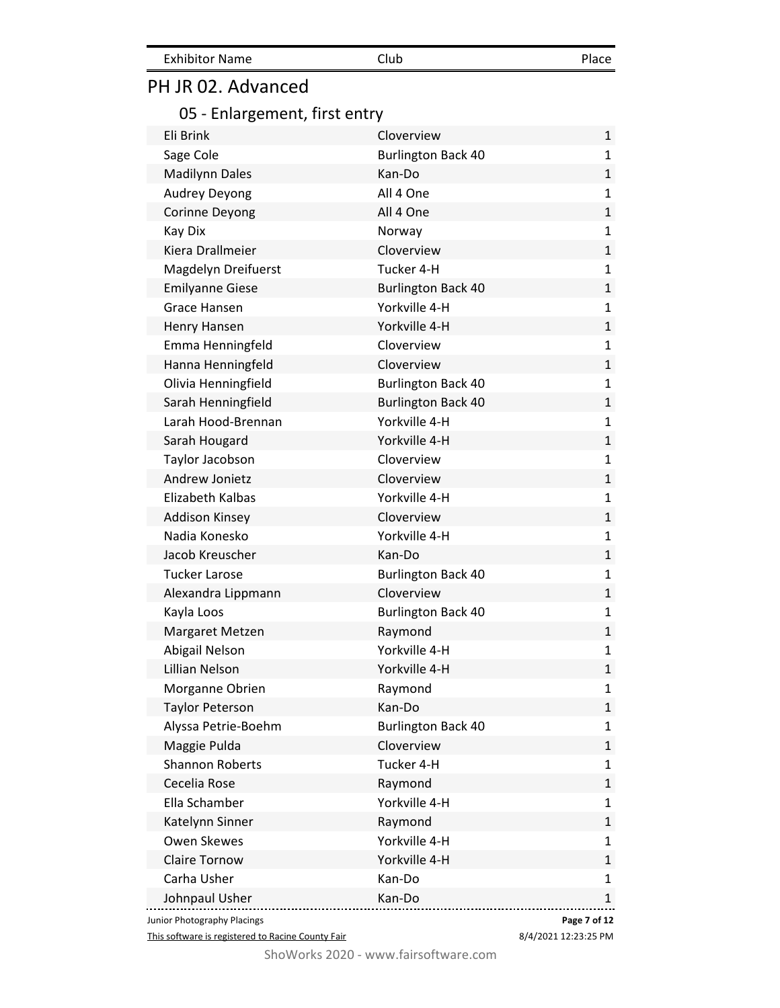| <b>Exhibitor Name</b> | Club | Place |
|-----------------------|------|-------|
|                       |      |       |

## 05 - Enlargement, first entry

| Eli Brink                   | Cloverview                | 1            |
|-----------------------------|---------------------------|--------------|
| Sage Cole                   | <b>Burlington Back 40</b> | $\mathbf 1$  |
| <b>Madilynn Dales</b>       | Kan-Do                    | $\mathbf{1}$ |
| <b>Audrey Deyong</b>        | All 4 One                 | 1            |
| Corinne Deyong              | All 4 One                 | $\mathbf{1}$ |
| Kay Dix                     | Norway                    | $\mathbf{1}$ |
| Kiera Drallmeier            | Cloverview                | $\mathbf{1}$ |
| <b>Magdelyn Dreifuerst</b>  | Tucker 4-H                | 1            |
| <b>Emilyanne Giese</b>      | <b>Burlington Back 40</b> | $\mathbf{1}$ |
| Grace Hansen                | Yorkville 4-H             | $\mathbf{1}$ |
| Henry Hansen                | Yorkville 4-H             | $\mathbf{1}$ |
| Emma Henningfeld            | Cloverview                | 1            |
| Hanna Henningfeld           | Cloverview                | $\mathbf{1}$ |
| Olivia Henningfield         | <b>Burlington Back 40</b> | $\mathbf{1}$ |
| Sarah Henningfield          | <b>Burlington Back 40</b> | $\mathbf 1$  |
| Larah Hood-Brennan          | Yorkville 4-H             | 1            |
| Sarah Hougard               | Yorkville 4-H             | $\mathbf{1}$ |
| Taylor Jacobson             | Cloverview                | $\mathbf{1}$ |
| Andrew Jonietz              | Cloverview                | $\mathbf{1}$ |
| Elizabeth Kalbas            | Yorkville 4-H             | 1            |
| <b>Addison Kinsey</b>       | Cloverview                | $\mathbf{1}$ |
| Nadia Konesko               | Yorkville 4-H             | $\mathbf{1}$ |
| Jacob Kreuscher             | Kan-Do                    | $\mathbf{1}$ |
| <b>Tucker Larose</b>        | <b>Burlington Back 40</b> | 1            |
| Alexandra Lippmann          | Cloverview                | $\mathbf{1}$ |
| Kayla Loos                  | <b>Burlington Back 40</b> | $\mathbf{1}$ |
| Margaret Metzen             | Raymond                   | $\mathbf{1}$ |
| Abigail Nelson              | Yorkville 4-H             | 1            |
| Lillian Nelson              | Yorkville 4-H             | $\mathbf{1}$ |
| Morganne Obrien             | Raymond                   | 1            |
| <b>Taylor Peterson</b>      | Kan-Do                    | 1            |
| Alyssa Petrie-Boehm         | <b>Burlington Back 40</b> | $\mathbf{1}$ |
| Maggie Pulda                | Cloverview                | 1            |
| <b>Shannon Roberts</b>      | Tucker 4-H                | 1            |
| Cecelia Rose                | Raymond                   | $\mathbf{1}$ |
| Ella Schamber               | Yorkville 4-H             | 1            |
| Katelynn Sinner             | Raymond                   | 1            |
| Owen Skewes                 | Yorkville 4-H             | 1            |
| <b>Claire Tornow</b>        | Yorkville 4-H             | 1            |
| Carha Usher                 | Kan-Do                    | $\mathbf{1}$ |
| Johnpaul Usher              | Kan-Do                    | $\mathbf{1}$ |
| Junior Photography Placings |                           | Page 7 of 12 |

This software is registered to Racine County Fair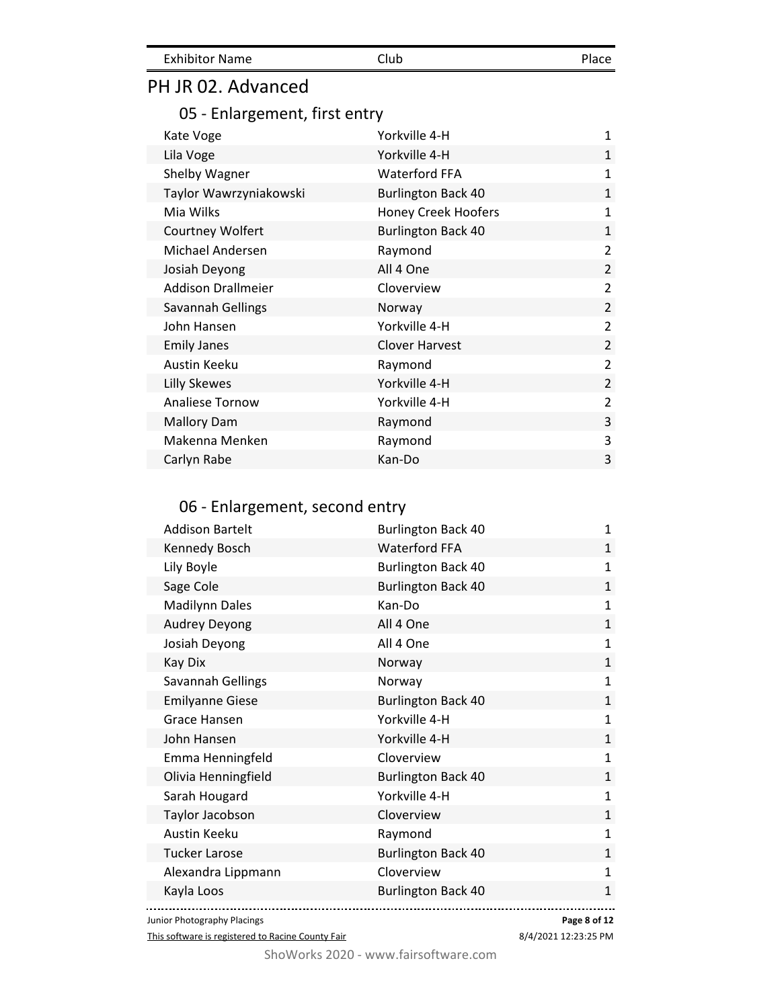#### PH JR 02. Advanced

#### 05 - Enlargement, first entry

| Kate Voge                 | Yorkville 4-H             | 1              |
|---------------------------|---------------------------|----------------|
| Lila Voge                 | Yorkville 4-H             | $\mathbf{1}$   |
| Shelby Wagner             | <b>Waterford FFA</b>      | $\mathbf{1}$   |
| Taylor Wawrzyniakowski    | <b>Burlington Back 40</b> | $\mathbf{1}$   |
| Mia Wilks                 | Honey Creek Hoofers       | $\mathbf{1}$   |
| Courtney Wolfert          | <b>Burlington Back 40</b> | $\mathbf{1}$   |
| Michael Andersen          | Raymond                   | $\overline{2}$ |
| Josiah Deyong             | All 4 One                 | 2              |
| <b>Addison Drallmeier</b> | Cloverview                | $\overline{2}$ |
| Savannah Gellings         | Norway                    | $\overline{2}$ |
| John Hansen               | Yorkville 4-H             | 2              |
| <b>Emily Janes</b>        | <b>Clover Harvest</b>     | $\overline{2}$ |
| Austin Keeku              | Raymond                   | $\overline{2}$ |
| Lilly Skewes              | Yorkville 4-H             | 2              |
| <b>Analiese Tornow</b>    | Yorkville 4-H             | $\overline{2}$ |
| <b>Mallory Dam</b>        | Raymond                   | 3              |
| Makenna Menken            | Raymond                   | 3              |
| Carlyn Rabe               | Kan-Do                    | 3              |

#### 06 - Enlargement, second entry

| <b>Addison Bartelt</b> | <b>Burlington Back 40</b> | $\mathbf{1}$ |
|------------------------|---------------------------|--------------|
| Kennedy Bosch          | <b>Waterford FFA</b>      | $\mathbf{1}$ |
| Lily Boyle             | <b>Burlington Back 40</b> | $\mathbf{1}$ |
| Sage Cole              | <b>Burlington Back 40</b> | $\mathbf{1}$ |
| <b>Madilynn Dales</b>  | Kan-Do                    | $\mathbf{1}$ |
| Audrey Deyong          | All 4 One                 | $\mathbf{1}$ |
| Josiah Deyong          | All 4 One                 | $\mathbf{1}$ |
| Kay Dix                | Norway                    | $\mathbf{1}$ |
| Savannah Gellings      | Norway                    | $\mathbf{1}$ |
| <b>Emilyanne Giese</b> | <b>Burlington Back 40</b> | $\mathbf{1}$ |
| Grace Hansen           | Yorkville 4-H             | $\mathbf{1}$ |
| John Hansen            | Yorkville 4-H             | $\mathbf{1}$ |
| Emma Henningfeld       | Cloverview                | $\mathbf{1}$ |
| Olivia Henningfield    | <b>Burlington Back 40</b> | $\mathbf{1}$ |
| Sarah Hougard          | Yorkville 4-H             | $\mathbf{1}$ |
| Taylor Jacobson        | Cloverview                | $\mathbf{1}$ |
| Austin Keeku           | Raymond                   | $\mathbf{1}$ |
| <b>Tucker Larose</b>   | <b>Burlington Back 40</b> | $\mathbf{1}$ |
| Alexandra Lippmann     | Cloverview                | $\mathbf{1}$ |
| Kayla Loos             | <b>Burlington Back 40</b> | $\mathbf{1}$ |
|                        |                           |              |

Junior Photography Placings

This software is registered to Racine County Fair

**Page 8 of 12**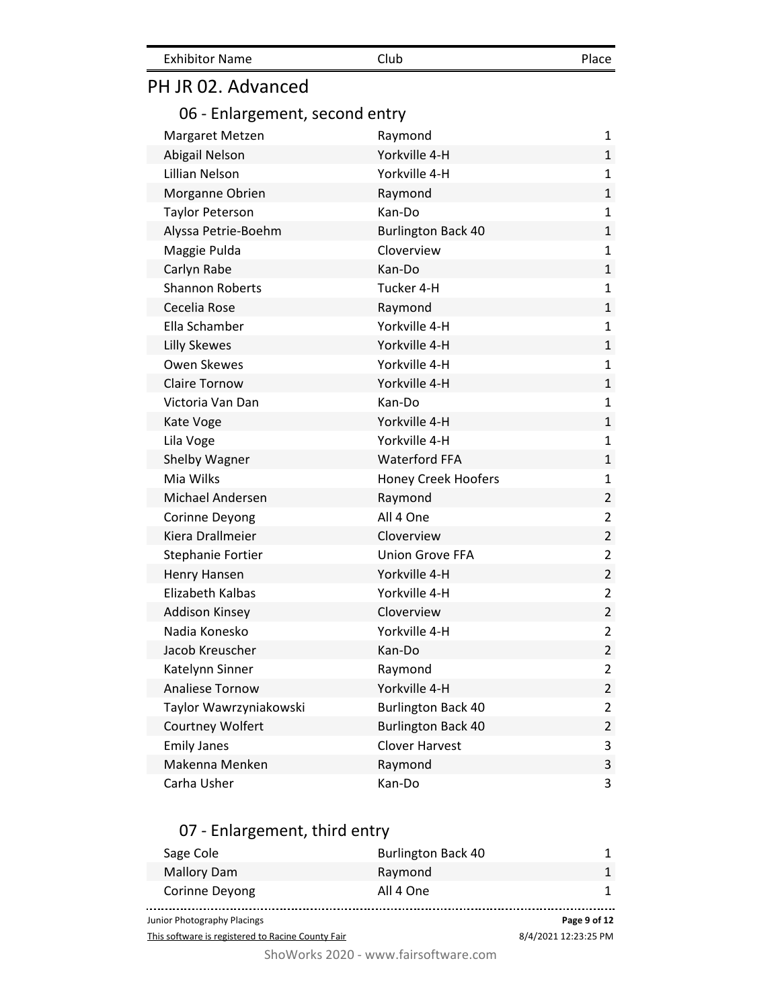| <b>Exhibitor Name</b> | Club | Place |
|-----------------------|------|-------|
|                       |      |       |

#### 06 - Enlargement, second entry

| Margaret Metzen        | Raymond                    | $\mathbf{1}$   |
|------------------------|----------------------------|----------------|
| Abigail Nelson         | Yorkville 4-H              | $\mathbf 1$    |
| Lillian Nelson         | Yorkville 4-H              | $\mathbf{1}$   |
| Morganne Obrien        | Raymond                    | $\mathbf{1}$   |
| <b>Taylor Peterson</b> | Kan-Do                     | $\mathbf 1$    |
| Alyssa Petrie-Boehm    | <b>Burlington Back 40</b>  | $\mathbf 1$    |
| Maggie Pulda           | Cloverview                 | $\mathbf{1}$   |
| Carlyn Rabe            | Kan-Do                     | $\mathbf 1$    |
| <b>Shannon Roberts</b> | Tucker 4-H                 | $\mathbf 1$    |
| Cecelia Rose           | Raymond                    | $\mathbf 1$    |
| Ella Schamber          | Yorkville 4-H              | $\mathbf 1$    |
| <b>Lilly Skewes</b>    | Yorkville 4-H              | $\mathbf{1}$   |
| Owen Skewes            | Yorkville 4-H              | $\mathbf 1$    |
| <b>Claire Tornow</b>   | Yorkville 4-H              | $\mathbf 1$    |
| Victoria Van Dan       | Kan-Do                     | $\mathbf 1$    |
| Kate Voge              | Yorkville 4-H              | $\mathbf{1}$   |
| Lila Voge              | Yorkville 4-H              | $\mathbf 1$    |
| Shelby Wagner          | <b>Waterford FFA</b>       | $\mathbf{1}$   |
| Mia Wilks              | <b>Honey Creek Hoofers</b> | $\mathbf 1$    |
| Michael Andersen       | Raymond                    | $\overline{2}$ |
| Corinne Deyong         | All 4 One                  | $\overline{2}$ |
| Kiera Drallmeier       | Cloverview                 | $\overline{2}$ |
| Stephanie Fortier      | <b>Union Grove FFA</b>     | $\overline{2}$ |
| Henry Hansen           | Yorkville 4-H              | $\overline{2}$ |
| Elizabeth Kalbas       | Yorkville 4-H              | $\overline{2}$ |
| <b>Addison Kinsey</b>  | Cloverview                 | $\overline{2}$ |
| Nadia Konesko          | Yorkville 4-H              | $\overline{2}$ |
| Jacob Kreuscher        | Kan-Do                     | $\overline{2}$ |
| Katelynn Sinner        | Raymond                    | $\overline{2}$ |
| <b>Analiese Tornow</b> | Yorkville 4-H              | $\overline{2}$ |
| Taylor Wawrzyniakowski | <b>Burlington Back 40</b>  | 2              |
| Courtney Wolfert       | <b>Burlington Back 40</b>  | $\overline{2}$ |
| <b>Emily Janes</b>     | <b>Clover Harvest</b>      | 3              |
| Makenna Menken         | Raymond                    | 3              |
| Carha Usher            | Kan-Do                     | 3              |
|                        |                            |                |

#### 07 - Enlargement, third entry

| Sage Cole                                         | <b>Burlington Back 40</b> |                      |
|---------------------------------------------------|---------------------------|----------------------|
| <b>Mallory Dam</b>                                | Raymond                   |                      |
| Corinne Deyong                                    | All 4 One                 |                      |
| Junior Photography Placings                       |                           | Page 9 of 12         |
| This software is registered to Racine County Fair |                           | 8/4/2021 12:23:25 PM |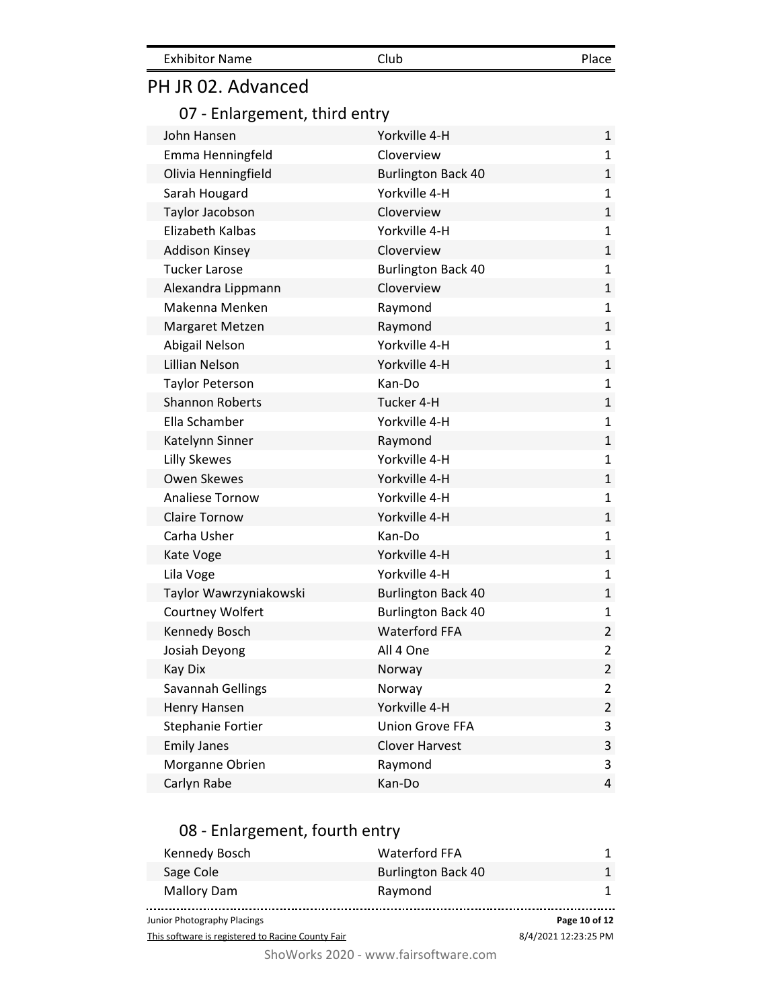#### PH JR 02. Advanced

#### 07 - Enlargement, third entry

| John Hansen            | Yorkville 4-H             | 1                       |
|------------------------|---------------------------|-------------------------|
| Emma Henningfeld       | Cloverview                | 1                       |
| Olivia Henningfield    | <b>Burlington Back 40</b> | $\mathbf 1$             |
| Sarah Hougard          | Yorkville 4-H             | $\mathbf{1}$            |
| Taylor Jacobson        | Cloverview                | $\mathbf{1}$            |
| Elizabeth Kalbas       | Yorkville 4-H             | $\mathbf{1}$            |
| <b>Addison Kinsey</b>  | Cloverview                | $\mathbf{1}$            |
| <b>Tucker Larose</b>   | <b>Burlington Back 40</b> | $\mathbf{1}$            |
| Alexandra Lippmann     | Cloverview                | $\mathbf 1$             |
| Makenna Menken         | Raymond                   | $\mathbf{1}$            |
| Margaret Metzen        | Raymond                   | $\mathbf 1$             |
| Abigail Nelson         | Yorkville 4-H             | $\mathbf{1}$            |
| Lillian Nelson         | Yorkville 4-H             | $\mathbf 1$             |
| <b>Taylor Peterson</b> | Kan-Do                    | $\mathbf{1}$            |
| <b>Shannon Roberts</b> | Tucker 4-H                | $\mathbf{1}$            |
| Ella Schamber          | Yorkville 4-H             | $\mathbf 1$             |
| Katelynn Sinner        | Raymond                   | $\mathbf{1}$            |
| <b>Lilly Skewes</b>    | Yorkville 4-H             | $\mathbf 1$             |
| Owen Skewes            | Yorkville 4-H             | $\mathbf{1}$            |
| Analiese Tornow        | Yorkville 4-H             | $\mathbf{1}$            |
| <b>Claire Tornow</b>   | Yorkville 4-H             | $\mathbf{1}$            |
| Carha Usher            | Kan-Do                    | $\mathbf{1}$            |
| Kate Voge              | Yorkville 4-H             | $\mathbf 1$             |
| Lila Voge              | Yorkville 4-H             | $\mathbf{1}$            |
| Taylor Wawrzyniakowski | <b>Burlington Back 40</b> | $\mathbf{1}$            |
| Courtney Wolfert       | <b>Burlington Back 40</b> | $\mathbf{1}$            |
| Kennedy Bosch          | <b>Waterford FFA</b>      | $\overline{2}$          |
| Josiah Deyong          | All 4 One                 | $\overline{2}$          |
| <b>Kay Dix</b>         | Norway                    | $\overline{2}$          |
| Savannah Gellings      | Norway                    | $\overline{\mathbf{c}}$ |
| Henry Hansen           | Yorkville 4-H             | $\overline{2}$          |
| Stephanie Fortier      | <b>Union Grove FFA</b>    | 3                       |
| <b>Emily Janes</b>     | <b>Clover Harvest</b>     | 3                       |
| Morganne Obrien        | Raymond                   | 3                       |
| Carlyn Rabe            | Kan-Do                    | 4                       |
|                        |                           |                         |

#### 08 - Enlargement, fourth entry

| Kennedy Bosch               | <b>Waterford FFA</b>      |               |
|-----------------------------|---------------------------|---------------|
| Sage Cole                   | <b>Burlington Back 40</b> |               |
| Mallory Dam                 | Raymond                   |               |
| Junior Photography Placings |                           | Page 10 of 12 |
|                             |                           | .             |

This software is registered to Racine County Fair

8/4/2021 12:23:25 PM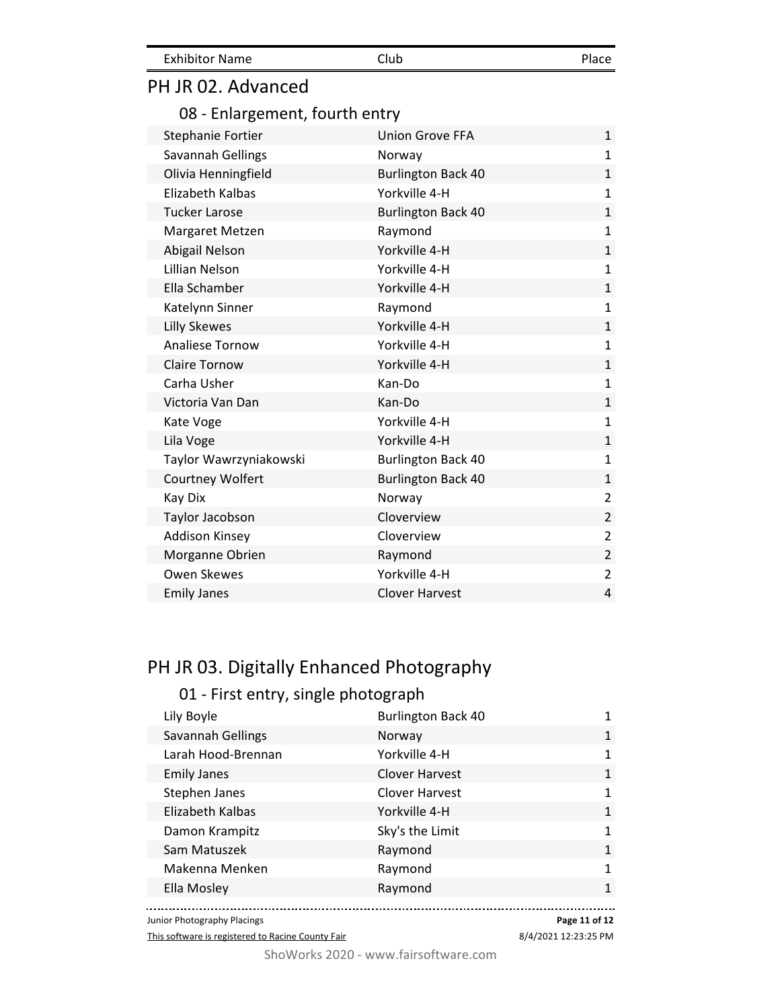| <b>Exhibitor Name</b> | Club | Place |
|-----------------------|------|-------|
|                       |      |       |

#### 08 - Enlargement, fourth entry

| Stephanie Fortier      | <b>Union Grove FFA</b>    | $\mathbf{1}$   |
|------------------------|---------------------------|----------------|
| Savannah Gellings      | Norway                    | 1              |
| Olivia Henningfield    | <b>Burlington Back 40</b> | $\mathbf{1}$   |
| Elizabeth Kalbas       | Yorkville 4-H             | $\mathbf{1}$   |
| <b>Tucker Larose</b>   | <b>Burlington Back 40</b> | 1              |
| Margaret Metzen        | Raymond                   | 1              |
| Abigail Nelson         | Yorkville 4-H             | $\mathbf 1$    |
| Lillian Nelson         | Yorkville 4-H             | $\mathbf{1}$   |
| Ella Schamber          | Yorkville 4-H             | $\mathbf{1}$   |
| Katelynn Sinner        | Raymond                   | $\mathbf{1}$   |
| <b>Lilly Skewes</b>    | Yorkville 4-H             | $\mathbf{1}$   |
| <b>Analiese Tornow</b> | Yorkville 4-H             | $\mathbf{1}$   |
| <b>Claire Tornow</b>   | Yorkville 4-H             | 1              |
| Carha Usher            | Kan-Do                    | $\mathbf{1}$   |
| Victoria Van Dan       | Kan-Do                    | $\mathbf 1$    |
| Kate Voge              | Yorkville 4-H             | $\mathbf{1}$   |
| Lila Voge              | Yorkville 4-H             | $\mathbf{1}$   |
| Taylor Wawrzyniakowski | <b>Burlington Back 40</b> | $\mathbf{1}$   |
| Courtney Wolfert       | <b>Burlington Back 40</b> | 1              |
| Kay Dix                | Norway                    | $\overline{2}$ |
| Taylor Jacobson        | Cloverview                | $\overline{2}$ |
| <b>Addison Kinsey</b>  | Cloverview                | $\overline{2}$ |
| Morganne Obrien        | Raymond                   | $\overline{2}$ |
| Owen Skewes            | Yorkville 4-H             | $\overline{2}$ |
| <b>Emily Janes</b>     | <b>Clover Harvest</b>     | 4              |
|                        |                           |                |

## PH JR 03. Digitally Enhanced Photography

# 01 - First entry, single photograph

| Lily Boyle         | <b>Burlington Back 40</b> |              |
|--------------------|---------------------------|--------------|
| Savannah Gellings  | Norway                    | 1            |
| Larah Hood-Brennan | Yorkville 4-H             | 1            |
| <b>Emily Janes</b> | <b>Clover Harvest</b>     | $\mathbf{1}$ |
| Stephen Janes      | Clover Harvest            | $\mathbf{1}$ |
| Elizabeth Kalbas   | Yorkville 4-H             | $\mathbf{1}$ |
| Damon Krampitz     | Sky's the Limit           | 1            |
| Sam Matuszek       | Raymond                   | $\mathbf{1}$ |
| Makenna Menken     | Raymond                   | $\mathbf{1}$ |
| Ella Mosley        | Raymond                   | 1            |
|                    |                           |              |

Junior Photography Placings

. . . . . . . **Page 11 of 12**

. . . . .

This software is registered to Racine County Fair